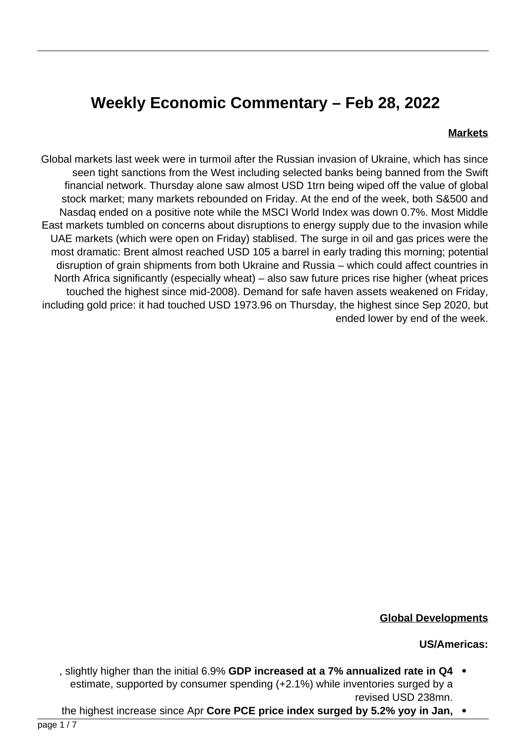# **Weekly Economic Commentary - Feb 28, 2022**

#### **Markets**

Global markets last week were in turmoil after the Russian invasion of Ukraine, which has since seen tight sanctions from the West including selected banks being banned from the Swift financial network. Thursday alone saw almost USD 1trn being wiped off the value of global stock market; many markets rebounded on Friday. At the end of the week, both S&500 and Nasdag ended on a positive note while the MSCI World Index was down 0.7%. Most Middle East markets tumbled on concerns about disruptions to energy supply due to the invasion while UAE markets (which were open on Friday) stablised. The surge in oil and gas prices were the most dramatic: Brent almost reached USD 105 a barrel in early trading this morning; potential disruption of grain shipments from both Ukraine and Russia – which could affect countries in North Africa significantly (especially wheat) – also saw future prices rise higher (wheat prices touched the highest since mid-2008). Demand for safe haven assets weakened on Friday, including gold price: it had touched USD 1973.96 on Thursday, the highest since Sep 2020, but ended lower by end of the week.



#### **Global Developments**

#### **US/Americas:**

- **5. slightly higher than the initial 6.9% GDP increased at a 7% annualized rate in Q4 .** estimate, supported by consumer spending  $(+2.1%)$  while inventories surged by a revised USD 238mn.
- the highest increase since Apr **Core PCE price index surged by 5.2% yoy in Jan.**  $\bullet$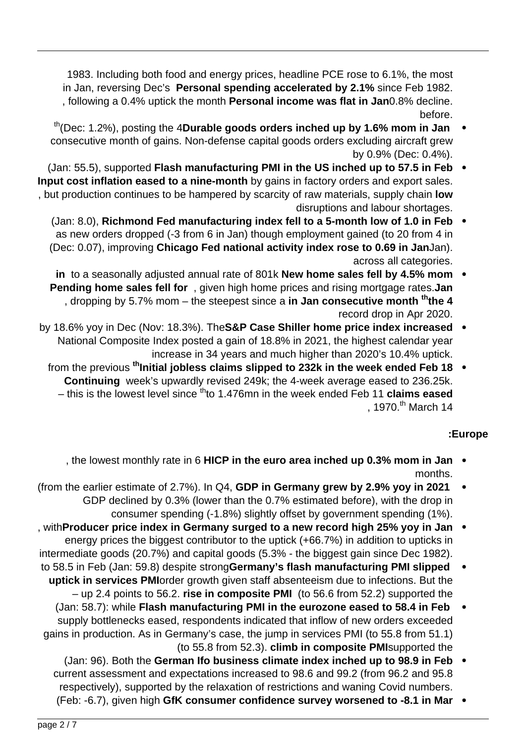1983. Including both food and energy prices, headline PCE rose to 6.1%, the most in Jan, reversing Dec's Personal spending accelerated by 2.1% since Feb 1982. . following a 0.4% uptick the month **Personal income was flat in Jan**0.8% decline. .before

- th<sub>(Dec: 1.2%)</sub>, posting the 4Durable goods orders inched up by 1.6% mom in Jan consecutive month of gains. Non-defense capital goods orders excluding aircraft grew by 0.9% (Dec: 0.4%).
- (Jan: 55.5), supported Flash manufacturing PMI in the US inched up to 57.5 in Feb Input cost inflation eased to a nine-month by gains in factory orders and export sales. , but production continues to be hampered by scarcity of raw materials, supply chain **low** disruptions and labour shortages.
	- (Jan: 8.0), Richmond Fed manufacturing index fell to a 5-month low of 1.0 in Feb as new orders dropped (-3 from 6 in Jan) though employment gained (to 20 from 4 in (Dec: 0.07), improving Chicago Fed national activity index rose to 0.69 in JanJan). across all categories.
	- in to a seasonally adjusted annual rate of 801k New home sales fell by 4.5% mom **Pending home sales fell for**, given high home prices and rising mortgage rates. Jan **, dropping by 5.7% mom – the steepest since a in Jan consecutive month <sup>th</sup>the 4** record drop in Apr 2020.
- by 18.6% yoy in Dec (Nov: 18.3%). The S&P Case Shiller home price index increased National Composite Index posted a gain of 18.8% in 2021, the highest calendar year increase in 34 years and much higher than 2020's 10.4% uptick.
	- from the previous <sup>th</sup> Initial jobless claims slipped to 232k in the week ended Feb 18 **Continuing** week's upwardly revised 249k; the 4-week average eased to 236.25k. - this is the lowest level since <sup>th</sup>to 1.476 mn in the week ended Feb 11 **claims eased** , 1970.<sup>th</sup> March 14

## **Europe:**

- , the lowest monthly rate in 6 HICP in the euro area inched up 0.3% mom in Jan . .months
- (from the earlier estimate of  $2.7\%$ ). In Q4, GDP in Germany grew by  $2.9\%$  yoy in 2021 GDP declined by 0.3% (lower than the 0.7% estimated before), with the drop in consumer spending (-1.8%) slightly offset by government spending (1%).
- with Producer price index in Germany surged to a new record high 25% yoy in Jan . energy prices the biggest contributor to the uptick (+66.7%) in addition to upticks in intermediate goods (20.7%) and capital goods (5.3% - the biggest gain since Dec 1982).
- to 58.5 in Feb (Jan: 59.8) despite strong**Germany's flash manufacturing PMI slipped** uptick in services PMIorder growth given staff absenteeism due to infections. But the - up 2.4 points to 56.2. **rise in composite PMI** (to 56.6 from 52.2) supported the
- **(Jan: 58.7): while Flash manufacturing PMI in the eurozone eased to 58.4 in Feb** supply bottlenecks eased, respondents indicated that inflow of new orders exceeded gains in production. As in Germany's case, the jump in services PMI (to 55.8 from 51.1) (to 55.8 from 52.3). **climb in composite PMI**supported the
	- **(Jan: 96). Both the German Ifo business climate index inched up to 98.9 in Feb** current assessment and expectations increased to 98.6 and 99.2 (from 96.2 and 95.8 respectively), supported by the relaxation of restrictions and waning Covid numbers.
		- **(Feb: -6.7), given high GfK consumer confidence survey worsened to -8.1 in Mar**  $\bullet$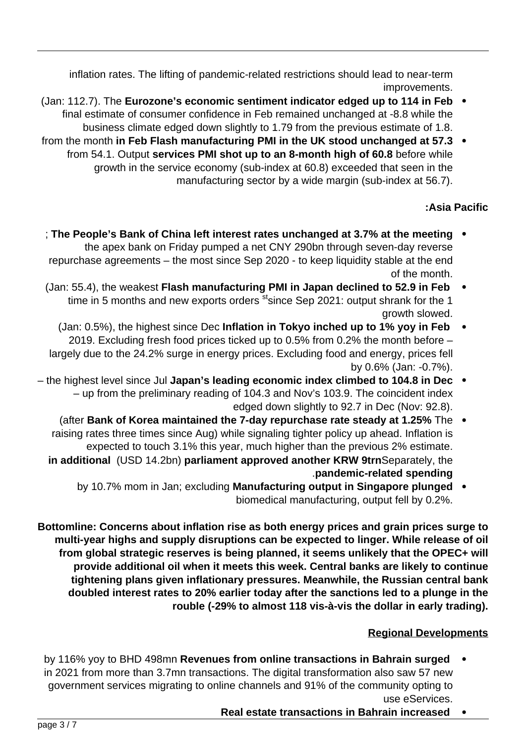inflation rates. The lifting of pandemic-related restrictions should lead to near-term .improvements

- **Feb in 112.7**). The Eurozone's economic sentiment indicator edged up to 114 in Feb  $\bullet$ final estimate of consumer confidence in Feb remained unchanged at -8.8 while the business climate edged down slightly to 1.79 from the previous estimate of 1.8.
- from the month in Feb Flash manufacturing PMI in the UK stood unchanged at 57.3  $\bullet$ from 54.1. Output services PMI shot up to an 8-month high of 60.8 before while growth in the service economy (sub-index at 60.8) exceeded that seen in the manufacturing sector by a wide margin (sub-index at 56.7).

# **Pacific Asia:**

- **The People's Bank of China left interest rates unchanged at 3.7% at the meeting .** the apex bank on Friday pumped a net CNY 290bn through seven-day reverse repurchase agreements - the most since Sep 2020 - to keep liquidity stable at the end of the month.
- **(Jan: 55.4), the weakest Flash manufacturing PMI in Japan declined to 52.9 in Feb** time in 5 months and new exports orders st ince Sep 2021: output shrank for the 1 growth slowed.
- **(Jan: 0.5%), the highest since Dec Inflation in Tokyo inched up to 1% yoy in Feb** 2019. Excluding fresh food prices ticked up to 0.5% from 0.2% the month before  $$ largely due to the 24.2% surge in energy prices. Excluding food and energy, prices fell by 0.6% (Jan: -0.7%).
- **the highest level since Jul Japan's leading economic index climbed to 104.8 in Dec** - up from the preliminary reading of 104.3 and Nov's 103.9. The coincident index edged down slightly to 92.7 in Dec (Nov: 92.8).
	- The **1.25% of Korea maintained the 7-day repurchase rate steady at 1.25% The**  $\bullet$ raising rates three times since Aug) while signaling tighter policy up ahead. Inflation is expected to touch 3.1% this year, much higher than the previous 2% estimate. in additional (USD 14.2bn) parliament approved another KRW 9trnSeparately, the **spending related-pandemic**.
		- **by 10.7% mom in Jan; excluding Manufacturing output in Singapore plunged .** biomedical manufacturing, output fell by 0.2%.

**Bottomline: Concerns about inflation rise as both energy prices and grain prices surge to** multi-year highs and supply disruptions can be expected to linger. While release of oil from global strategic reserves is being planned, it seems unlikely that the OPEC+ will provide additional oil when it meets this week. Central banks are likely to continue tightening plans given inflationary pressures. Meanwhile, the Russian central bank doubled interest rates to 20% earlier today after the sanctions led to a plunge in the rouble (-29% to almost 118 vis-à-vis the dollar in early trading).

## **Regional Developments**

- by 116% yoy to BHD 498mn Revenues from online transactions in Bahrain surged in 2021 from more than 3.7mn transactions. The digital transformation also saw 57 new government services migrating to online channels and 91% of the community opting to use eServices.
	- **Real estate transactions in Bahrain increased**  $\bullet$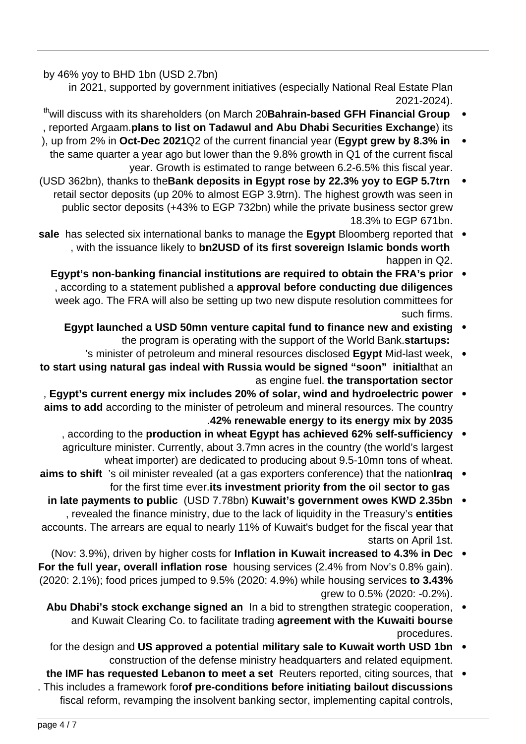by 46% yoy to BHD 1bn (USD 2.7bn)

in 2021, supported by government initiatives (especially National Real Estate Plan .(2021-2024

- <sup>th</sup> will discuss with its shareholders (on March 20 Bahrain-based GFH Financial Group , reported Argaam.plans to list on Tadawul and Abu Dhabi Securities Exchange) its
- ), up from 2% in Oct-Dec 2021Q2 of the current financial year (Egypt grew by 8.3% in the same quarter a year ago but lower than the  $9.8\%$  growth in Q1 of the current fiscal year. Growth is estimated to range between 6.2-6.5% this fiscal year.
- **(USD 362bn), thanks to the Bank deposits in Egypt rose by 22.3% yoy to EGP 5.7trn** retail sector deposits (up 20% to almost EGP 3.9trn). The highest growth was seen in public sector deposits (+43% to EGP 732bn) while the private business sector grew 18.3% to EGP 671bn.
- sale has selected six international banks to manage the **Egypt** Bloomberg reported that with the issuance likely to **bn2USD of its first sovereign Islamic bonds worth** happen in Q2.
	- **Egypt's non-banking financial institutions are required to obtain the FRA's prior**  $\bullet$ , according to a statement published a approval before conducting due diligences week ago. The FRA will also be setting up two new dispute resolution committees for such firms.
		- **Egypt launched a USD 50mn venture capital fund to finance new and existing** the program is operating with the support of the World Bank.**startups:**
- 's minister of petroleum and mineral resources disclosed **Egypt** Mid-last week, to start using natural gas indeal with Russia would be signed "soon" initialthat an as engine fuel. the transportation sector
- , Egypt's current energy mix includes 20% of solar, wind and hydroelectric power  $\bullet$ aims to add according to the minister of petroleum and mineral resources. The country **2035 by mix energy its to energy renewable** .**42%**
	- , according to the production in wheat Egypt has achieved 62% self-sufficiency agriculture minister. Currently, about 3.7mn acres in the country (the world's largest wheat importer) are dedicated to producing about 9.5-10 mn tons of wheat.
- aims to shift 's oil minister revealed (at a gas exporters conference) that the nationlrag for the first time ever its investment priority from the oil sector to gas
- **in late payments to public** (USD 7.78bn) Kuwait's government owes KWD 2.35bn , revealed the finance ministry, due to the lack of liquidity in the Treasury's **entities** accounts. The arrears are equal to nearly 11% of Kuwait's budget for the fiscal year that starts on April 1st.
- **(Nov: 3.9%), driven by higher costs for Inflation in Kuwait increased to 4.3% in Dec** For the full year, overall inflation rose housing services (2.4% from Nov's 0.8% gain). (2020: 2.1%); food prices jumped to 9.5% (2020: 4.9%) while housing services to 3.43% grew to 0.5% (2020: -0.2%).
	- Abu Dhabi's stock exchange signed an In a bid to strengthen strategic cooperation, . and Kuwait Clearing Co. to facilitate trading **agreement with the Kuwaiti bourse** .procedures
	- for the design and US approved a potential military sale to Kuwait worth USD 1bn . construction of the defense ministry headquarters and related equipment.
- the IMF has requested Lebanon to meet a set Reuters reported, citing sources, that . This includes a framework forof pre-conditions before initiating bailout discussions fiscal reform, revamping the insolvent banking sector, implementing capital controls,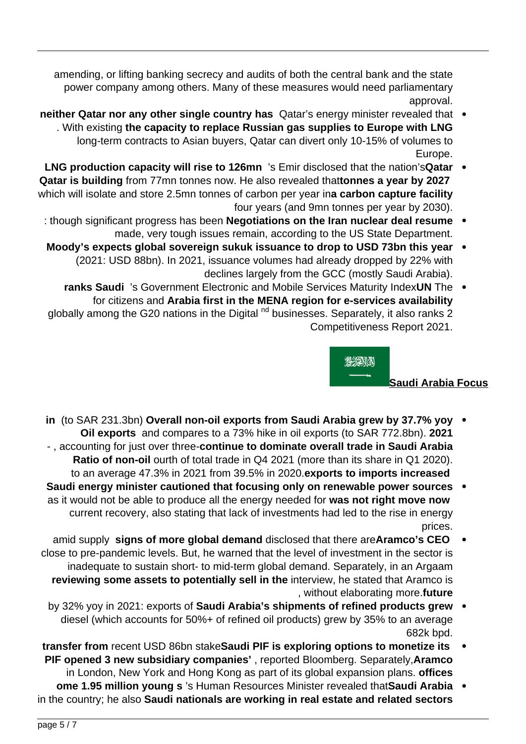amending, or lifting banking secrecy and audits of both the central bank and the state power company among others. Many of these measures would need parliamentary .approval

- **neither Qatar nor any other single country has** Qatar's energy minister revealed that . With existing the capacity to replace Russian gas supplies to Europe with LNG long-term contracts to Asian buyers, Qatar can divert only 10-15% of volumes to .Europe
- LNG production capacity will rise to 126mn 's Emir disclosed that the nation's Qatar Qatar is building from 77mn tonnes now. He also revealed thattonnes a year by 2027 which will isolate and store 2.5mn tonnes of carbon per year ina carbon capture facility four years (and 9mn tonnes per year by 2030).
	- : though significant progress has been **Negotiations on the Iran nuclear deal resume** made, very tough issues remain, according to the US State Department.
	- Moody's expects global sovereign sukuk issuance to drop to USD 73bn this year (2021: USD 88bn). In 2021, issuance volumes had already dropped by 22% with declines largely from the GCC (mostly Saudi Arabia).
	- ranks Saudi 's Government Electronic and Mobile Services Maturity IndexUN The for citizens and Arabia first in the MENA region for e-services availability globally among the G20 nations in the Digital  $nd$  businesses. Separately, it also ranks 2 Competitiveness Report 2021.



## **Saudi Arabia Focus**

- **in** (to SAR 231.3bn) Overall non-oil exports from Saudi Arabia grew by 37.7% yoy **2021** Oil exports and compares to a 73% hike in oil exports (to SAR 772.8bn). 2021 -, accounting for just over three-continue to dominate overall trade in Saudi Arabia Ratio of non-oil ourth of total trade in Q4 2021 (more than its share in Q1 2020). to an average 47.3% in 2021 from 39.5% in 2020. exports to imports increased
- **Saudi energy minister cautioned that focusing only on renewable power sources** as it would not be able to produce all the energy needed for was not right move now current recovery, also stating that lack of investments had led to the rise in energy prices.
- amid supply signs of more global demand disclosed that there areAramco's CEO close to pre-pandemic levels. But, he warned that the level of investment in the sector is inadequate to sustain short- to mid-term global demand. Separately, in an Argaam reviewing some assets to potentially sell in the interview, he stated that Aramco is , without elaborating more.future
	- by 32% yoy in 2021: exports of **Saudi Arabia's shipments of refined products grew**  $\bullet$ diesel (which accounts for 50%+ of refined oil products) grew by 35% to an average 682k bpd.
- **transfer from recent USD 86bn stakeSaudi PIF is exploring options to monetize its PIF opened 3 new subsidiary companies'**, reported Bloomberg. Separately, Aramco in London, New York and Hong Kong as part of its global expansion plans. **offices**
- **Arabia rabia is all revealed that Saudi Arabia • ome 1.95 million young s** 's Human Resources Minister revealed that Saudi Arabia in the country; he also **Saudi nationals are working in real estate and related sectors**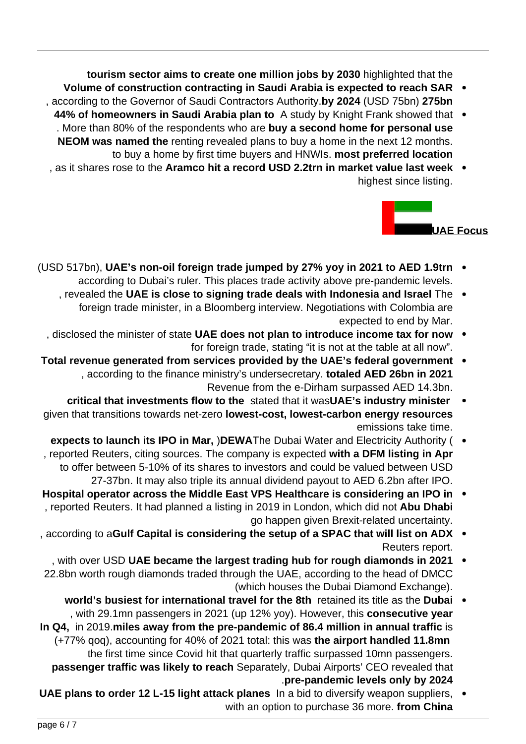tourism sector aims to create one million jobs by 2030 highlighted that the

- Volume of construction contracting in Saudi Arabia is expected to reach SAR , according to the Governor of Saudi Contractors Authority by 2024 (USD 75bn) 275bn
- 44% of homeowners in Saudi Arabia plan to A study by Knight Frank showed that . More than 80% of the respondents who are buy a second home for personal use NEOM was named the renting revealed plans to buy a home in the next 12 months. to buy a home by first time buyers and HNWIs. most preferred location
- as it shares rose to the Aramco hit a record USD 2.2trn in market value last week . highest since listing.



- (USD 517bn), UAE's non-oil foreign trade jumped by 27% yoy in 2021 to AED 1.9trn . according to Dubai's ruler. This places trade activity above pre-pandemic levels.
	- , revealed the UAE is close to signing trade deals with Indonesia and Israel The  $\bullet$ foreign trade minister, in a Bloomberg interview. Negotiations with Colombia are expected to end by Mar.
	- , disclosed the minister of state UAE does not plan to introduce income tax for now  $\bullet$ for foreign trade, stating "it is not at the table at all now".
- **formal revenue generated from services provided by the UAE's federal government** , according to the finance ministry's undersecretary. totaled AED 26bn in 2021 Revenue from the e-Dirham surpassed AED 14.3bn.
- **critical that investments flow to the stated that it wasUAE's industry minister** given that transitions towards net-zero **lowest-cost, lowest-carbon energy resources** emissions take time.
- **expects to launch its IPO in Mar, )DEWAThe Dubai Water and Electricity Authority (** , reported Reuters, citing sources. The company is expected with a DFM listing in Apr to offer between 5-10% of its shares to investors and could be valued between USD 27-37bn. It may also triple its annual dividend payout to AED 6.2bn after IPO.
- **Hospital operator across the Middle East VPS Healthcare is considering an IPO in** , reported Reuters. It had planned a listing in 2019 in London, which did not **Abu Dhabi** go happen given Brexit-related uncertainty.
- , according to a Gulf Capital is considering the setup of a SPAC that will list on ADX Reuters report.
- , with over USD UAE became the largest trading hub for rough diamonds in 2021 22.8bn worth rough diamonds traded through the UAE, according to the head of DMCC (which houses the Dubai Diamond Exchange).
- **world's busiest for international travel for the 8th** retained its title as the Dubai , with 29.1mn passengers in 2021 (up 12% yoy). However, this **consecutive year** In Q4, in 2019 miles away from the pre-pandemic of 86.4 million in annual traffic is **(+77% gog), accounting for 40% of 2021 total: this was the airport handled 11.8mn** the first time since Covid hit that quarterly traffic surpassed 10mn passengers. passenger traffic was likely to reach Separately, Dubai Airports' CEO revealed that **pre-pandemic levels only by 2024**
- UAE plans to order 12 L-15 light attack planes In a bid to diversify weapon suppliers. with an option to purchase 36 more. from China